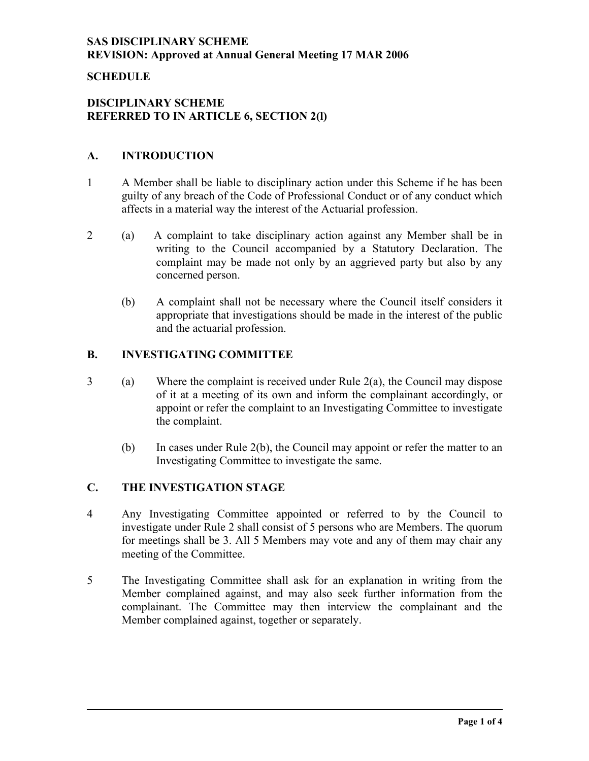### **SCHEDULE**

### **DISCIPLINARY SCHEME REFERRED TO IN ARTICLE 6, SECTION 2(l)**

### **A. INTRODUCTION**

- 1 A Member shall be liable to disciplinary action under this Scheme if he has been guilty of any breach of the Code of Professional Conduct or of any conduct which affects in a material way the interest of the Actuarial profession.
- 2 (a) A complaint to take disciplinary action against any Member shall be in writing to the Council accompanied by a Statutory Declaration. The complaint may be made not only by an aggrieved party but also by any concerned person.
	- (b) A complaint shall not be necessary where the Council itself considers it appropriate that investigations should be made in the interest of the public and the actuarial profession.

### **B. INVESTIGATING COMMITTEE**

- 3 (a) Where the complaint is received under Rule 2(a), the Council may dispose of it at a meeting of its own and inform the complainant accordingly, or appoint or refer the complaint to an Investigating Committee to investigate the complaint.
	- (b) In cases under Rule 2(b), the Council may appoint or refer the matter to an Investigating Committee to investigate the same.

# **C. THE INVESTIGATION STAGE**

- 4 Any Investigating Committee appointed or referred to by the Council to investigate under Rule 2 shall consist of 5 persons who are Members. The quorum for meetings shall be 3. All 5 Members may vote and any of them may chair any meeting of the Committee.
- 5 The Investigating Committee shall ask for an explanation in writing from the Member complained against, and may also seek further information from the complainant. The Committee may then interview the complainant and the Member complained against, together or separately.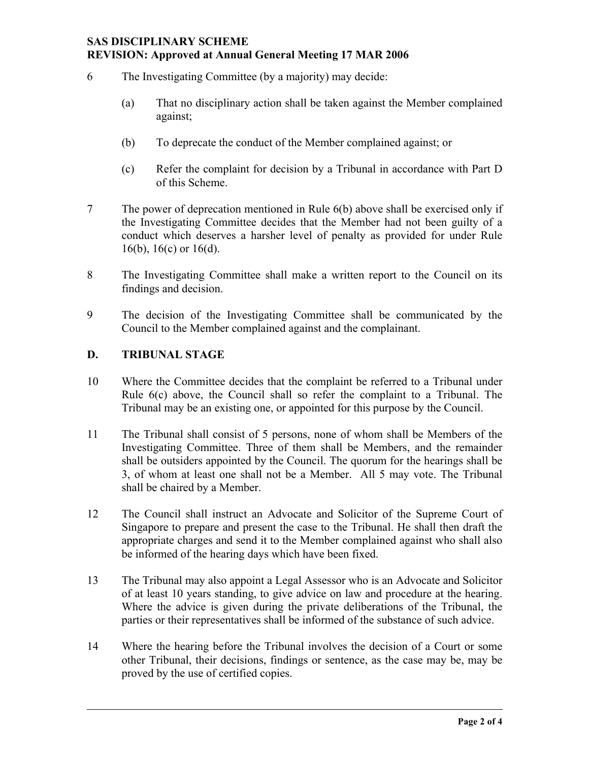- 6 The Investigating Committee (by a majority) may decide:
	- (a) That no disciplinary action shall be taken against the Member complained against;
	- (b) To deprecate the conduct of the Member complained against; or
	- (c) Refer the complaint for decision by a Tribunal in accordance with Part D of this Scheme.
- 7 The power of deprecation mentioned in Rule 6(b) above shall be exercised only if the Investigating Committee decides that the Member had not been guilty of a conduct which deserves a harsher level of penalty as provided for under Rule 16(b), 16(c) or 16(d).
- 8 The Investigating Committee shall make a written report to the Council on its findings and decision.
- 9 The decision of the Investigating Committee shall be communicated by the Council to the Member complained against and the complainant.

#### **D. TRIBUNAL STAGE**

- 10 Where the Committee decides that the complaint be referred to a Tribunal under Rule 6(c) above, the Council shall so refer the complaint to a Tribunal. The Tribunal may be an existing one, or appointed for this purpose by the Council.
- 11 The Tribunal shall consist of 5 persons, none of whom shall be Members of the Investigating Committee. Three of them shall be Members, and the remainder shall be outsiders appointed by the Council. The quorum for the hearings shall be 3, of whom at least one shall not be a Member. All 5 may vote. The Tribunal shall be chaired by a Member.
- 12 The Council shall instruct an Advocate and Solicitor of the Supreme Court of Singapore to prepare and present the case to the Tribunal. He shall then draft the appropriate charges and send it to the Member complained against who shall also be informed of the hearing days which have been fixed.
- 13 The Tribunal may also appoint a Legal Assessor who is an Advocate and Solicitor of at least 10 years standing, to give advice on law and procedure at the hearing. Where the advice is given during the private deliberations of the Tribunal, the parties or their representatives shall be informed of the substance of such advice.
- 14 Where the hearing before the Tribunal involves the decision of a Court or some other Tribunal, their decisions, findings or sentence, as the case may be, may be proved by the use of certified copies.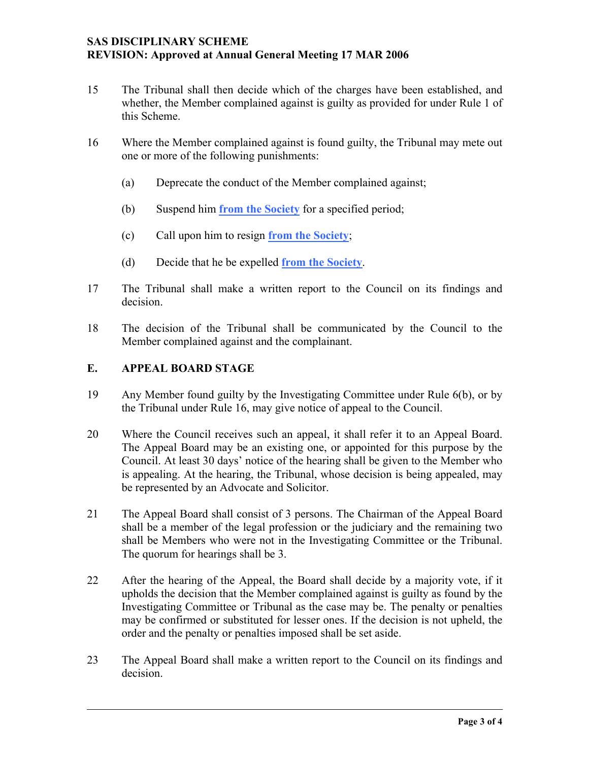- 15 The Tribunal shall then decide which of the charges have been established, and whether, the Member complained against is guilty as provided for under Rule 1 of this Scheme.
- 16 Where the Member complained against is found guilty, the Tribunal may mete out one or more of the following punishments:
	- (a) Deprecate the conduct of the Member complained against;
	- (b) Suspend him **from the Society** for a specified period;
	- (c) Call upon him to resign **from the Society**;
	- (d) Decide that he be expelled **from the Society**.
- 17 The Tribunal shall make a written report to the Council on its findings and decision.
- 18 The decision of the Tribunal shall be communicated by the Council to the Member complained against and the complainant.

## **E. APPEAL BOARD STAGE**

- 19 Any Member found guilty by the Investigating Committee under Rule 6(b), or by the Tribunal under Rule 16, may give notice of appeal to the Council.
- 20 Where the Council receives such an appeal, it shall refer it to an Appeal Board. The Appeal Board may be an existing one, or appointed for this purpose by the Council. At least 30 days' notice of the hearing shall be given to the Member who is appealing. At the hearing, the Tribunal, whose decision is being appealed, may be represented by an Advocate and Solicitor.
- 21 The Appeal Board shall consist of 3 persons. The Chairman of the Appeal Board shall be a member of the legal profession or the judiciary and the remaining two shall be Members who were not in the Investigating Committee or the Tribunal. The quorum for hearings shall be 3.
- 22 After the hearing of the Appeal, the Board shall decide by a majority vote, if it upholds the decision that the Member complained against is guilty as found by the Investigating Committee or Tribunal as the case may be. The penalty or penalties may be confirmed or substituted for lesser ones. If the decision is not upheld, the order and the penalty or penalties imposed shall be set aside.
- 23 The Appeal Board shall make a written report to the Council on its findings and decision.